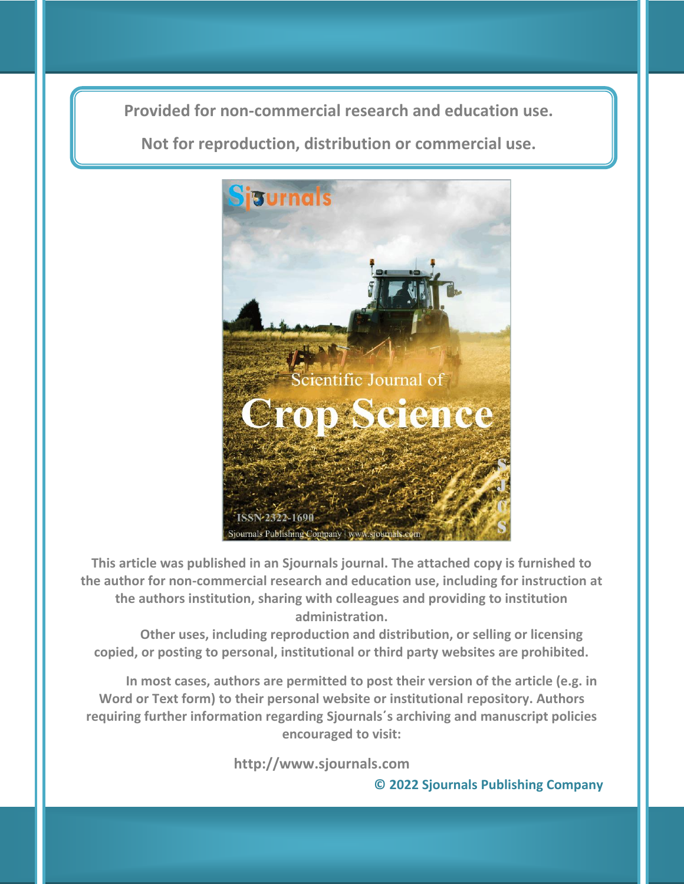**Provided for non-commercial research and education use. Provided for non-commercial research and education use.**

**Not for reproduction, distribution or commercial use. Not for reproduction, distribution or commercial use.**



**This article was published in an Sjournals journal. The attached copy is furnished to the author for non-commercial research and education use, including for instruction at the authors institution, sharing with colleagues and providing to institution administration.**

**Other uses, including reproduction and distribution, or selling or licensing copied, or posting to personal, institutional or third party websites are prohibited.**

**In most cases, authors are permitted to post their version of the article (e.g. in Word or Text form) to their personal website or institutional repository. Authors requiring further information regarding Sjournals΄s archiving and manuscript policies encouraged to visit:**

 **http://www.sjournals.com** 

**© 2022 Sjournals Publishing Company**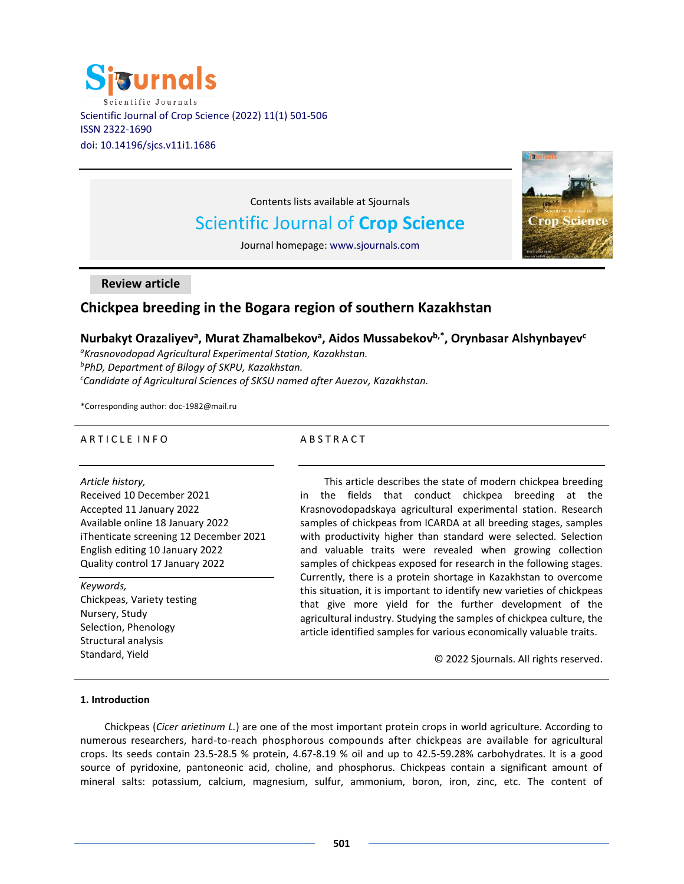



Contents lists available at Sjournals

# Scientific Journal of **Crop Science**

Journal homepage: www.sjournals.com

**Review article**

## **Chickpea breeding in the Bogara region of southern Kazakhstan**

## $N$ urbakyt Orazaliyev<sup>a</sup>, Murat Zhamalbekov<sup>a</sup>, Aidos Mussabekov<sup>b,\*</sup>, Orynbasar Alshynbayev<sup>c</sup>

*<sup>a</sup>Krasnovodopad Agricultural Experimental Station, Kazakhstan. <sup>b</sup>PhD, Department of Bilogy of SKPU, Kazakhstan. <sup>c</sup>Candidate of Agricultural Sciences of SKSU named after Auezov, Kazakhstan.*

\*Corresponding author: doc-1982@mail.ru

## A R T I C L E I N F O

## **ABSTRACT**

*Article history,*

Received 10 December 2021 Accepted 11 January 2022 Available online 18 January 2022 iThenticate screening 12 December 2021 English editing 10 January 2022 Quality control 17 January 2022

#### *Keywords,*

Chickpeas, Variety testing Nursery, Study Selection, Phenology Structural analysis Standard, Yield

This article describes the state of modern chickpea breeding in the fields that conduct chickpea breeding at the Krasnovodopadskaya agricultural experimental station. Research samples of chickpeas from ICARDA at all breeding stages, samples with productivity higher than standard were selected. Selection and valuable traits were revealed when growing collection samples of chickpeas exposed for research in the following stages. Currently, there is a protein shortage in Kazakhstan to overcome this situation, it is important to identify new varieties of chickpeas that give more yield for the further development of the agricultural industry. Studying the samples of chickpea culture, the article identified samples for various economically valuable traits.

© 2022 Sjournals. All rights reserved.

## **1. Introduction**

Chickpeas (*Cicer arietinum L.*) are one of the most important protein crops in world agriculture. According to numerous researchers, hard-to-reach phosphorous compounds after chickpeas are available for agricultural crops. Its seeds contain 23.5-28.5 % protein, 4.67-8.19 % oil and up to 42.5-59.28% carbohydrates. It is a good source of pyridoxine, pantoneonic acid, choline, and phosphorus. Chickpeas contain a significant amount of mineral salts: potassium, calcium, magnesium, sulfur, ammonium, boron, iron, zinc, etc. The content of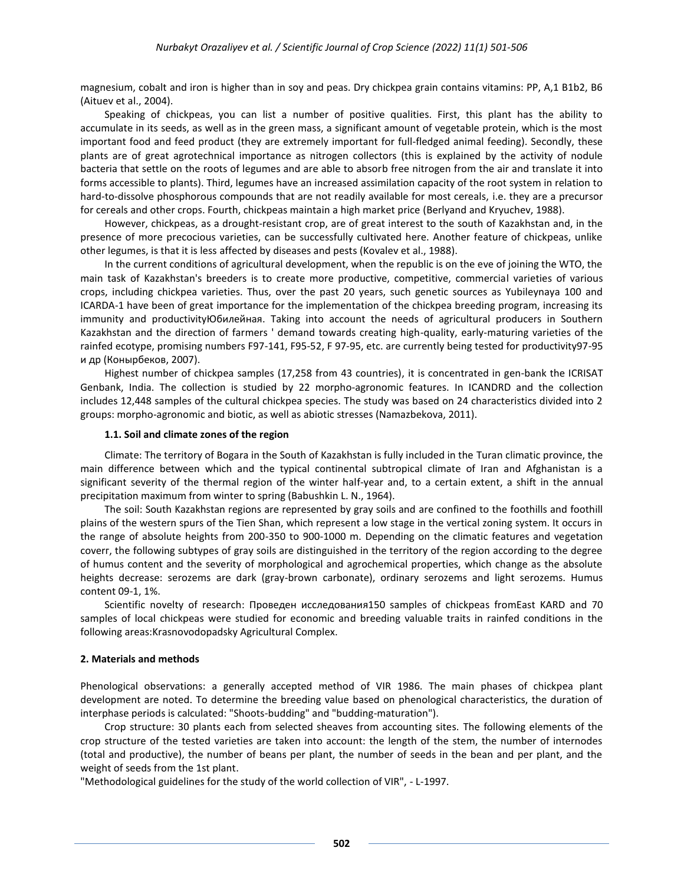magnesium, cobalt and iron is higher than in soy and peas. Dry chickpea grain contains vitamins: PP, A,1 B1b2, B6 (Aituev et al., 2004).

Speaking of chickpeas, you can list a number of positive qualities. First, this plant has the ability to accumulate in its seeds, as well as in the green mass, a significant amount of vegetable protein, which is the most important food and feed product (they are extremely important for full-fledged animal feeding). Secondly, these plants are of great agrotechnical importance as nitrogen collectors (this is explained by the activity of nodule bacteria that settle on the roots of legumes and are able to absorb free nitrogen from the air and translate it into forms accessible to plants). Third, legumes have an increased assimilation capacity of the root system in relation to hard-to-dissolve phosphorous compounds that are not readily available for most cereals, i.e. they are a precursor for cereals and other crops. Fourth, chickpeas maintain a high market price (Berlyand and Kryuchev, 1988).

However, chickpeas, as a drought-resistant crop, are of great interest to the south of Kazakhstan and, in the presence of more precocious varieties, can be successfully cultivated here. Another feature of chickpeas, unlike other legumes, is that it is less affected by diseases and pests (Kovalev et al., 1988).

In the current conditions of agricultural development, when the republic is on the eve of joining the WTO, the main task of Kazakhstan's breeders is to create more productive, competitive, commercial varieties of various crops, including chickpea varieties. Thus, over the past 20 years, such genetic sources as Yubileynaya 100 and ICARDA-1 have been of great importance for the implementation of the chickpea breeding program, increasing its immunity and productivityЮбилейная. Taking into account the needs of agricultural producers in Southern Kazakhstan and the direction of farmers ' demand towards creating high-quality, early-maturing varieties of the rainfed ecotype, promising numbers F97-141, F95-52, F 97-95, etc. are currently being tested for productivity97-95 и др (Конырбеков, 2007).

Highest number of chickpea samples (17,258 from 43 countries), it is concentrated in gen-bank the ICRISAT Genbank, India. The collection is studied by 22 morpho-agronomic features. In ICANDRD and the collection includes 12,448 samples of the cultural chickpea species. The study was based on 24 characteristics divided into 2 groups: morpho-agronomic and biotic, as well as abiotic stresses (Namazbekova, 2011).

#### **1.1. Soil and climate zones of the region**

Climate: The territory of Bogara in the South of Kazakhstan is fully included in the Turan climatic province, the main difference between which and the typical continental subtropical climate of Iran and Afghanistan is a significant severity of the thermal region of the winter half-year and, to a certain extent, a shift in the annual precipitation maximum from winter to spring (Babushkin L. N., 1964).

The soil: South Kazakhstan regions are represented by gray soils and are confined to the foothills and foothill plains of the western spurs of the Tien Shan, which represent a low stage in the vertical zoning system. It occurs in the range of absolute heights from 200-350 to 900-1000 m. Depending on the climatic features and vegetation coverг, the following subtypes of gray soils are distinguished in the territory of the region according to the degree of humus content and the severity of morphological and agrochemical properties, which change as the absolute heights decrease: serozems are dark (gray-brown carbonate), ordinary serozems and light serozems. Humus content 09-1, 1%.

Scientific novelty of research: Проведен исследования150 samples of chickpeas fromEast KARD and 70 samples of local chickpeas were studied for economic and breeding valuable traits in rainfed conditions in the following areas:Krasnovodopadsky Agricultural Complex.

#### **2. Materials and methods**

Phenological observations: a generally accepted method of VIR 1986. The main phases of chickpea plant development are noted. To determine the breeding value based on phenological characteristics, the duration of interphase periods is calculated: "Shoots-budding" and "budding-maturation").

Crop structure: 30 plants each from selected sheaves from accounting sites. The following elements of the crop structure of the tested varieties are taken into account: the length of the stem, the number of internodes (total and productive), the number of beans per plant, the number of seeds in the bean and per plant, and the weight of seeds from the 1st plant.

"Methodological guidelines for the study of the world collection of VIR", - L-1997.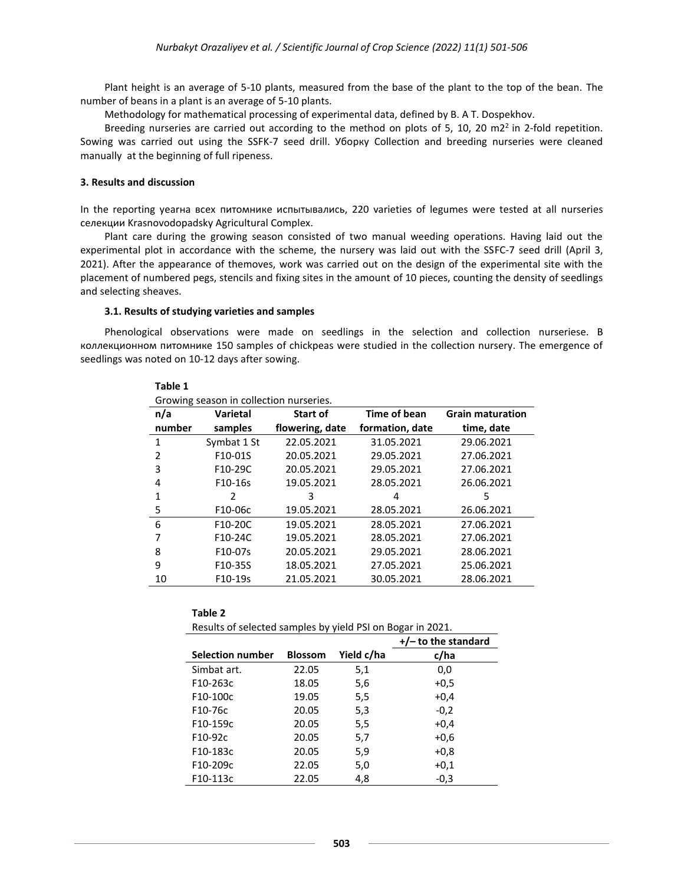Plant height is an average of 5-10 plants, measured from the base of the plant to the top of the bean. The number of beans in a plant is an average of 5-10 plants.

Methodology for mathematical processing of experimental data, defined by B. A T. Dospekhov.

Breeding nurseries are carried out according to the method on plots of 5, 10, 20 m2<sup>2</sup> in 2-fold repetition. Sowing was carried out using the SSFK-7 seed drill. Уборку Collection and breeding nurseries were cleaned manually at the beginning of full ripeness.

#### **3. Results and discussion**

In the reporting yearна всех питомнике испытывались, 220 varieties of legumes were tested at all nurseries селекции Krasnovodopadsky Agricultural Complex.

Plant care during the growing season consisted of two manual weeding operations. Having laid out the experimental plot in accordance with the scheme, the nursery was laid out with the SSFC-7 seed drill (April 3, 2021). After the appearance of themoves, work was carried out on the design of the experimental site with the placement of numbered pegs, stencils and fixing sites in the amount of 10 pieces, counting the density of seedlings and selecting sheaves.

#### **3.1. Results of studying varieties and samples**

**Table 1**

Phenological observations were made on seedlings in the selection and collection nurseriesе. В коллекционном питомнике 150 samples of chickpeas were studied in the collection nursery. The emergence of seedlings was noted on 10-12 days after sowing.

| Growing season in collection nurseries. |                             |                 |                 |                         |
|-----------------------------------------|-----------------------------|-----------------|-----------------|-------------------------|
| n/a                                     | Varietal<br><b>Start of</b> |                 | Time of bean    | <b>Grain maturation</b> |
| number                                  | samples                     | flowering, date | formation, date | time, date              |
| 1                                       | Symbat 1 St                 | 22.05.2021      | 31.05.2021      | 29.06.2021              |
| $\mathcal{P}$                           | F10-01S                     | 20.05.2021      | 29.05.2021      | 27.06.2021              |
| 3                                       | F10-29C                     | 20.05.2021      | 29.05.2021      | 27.06.2021              |
| 4                                       | F10-16s                     | 19.05.2021      | 28.05.2021      | 26.06.2021              |
| 1                                       | 2                           | 3               | 4               | 5                       |
| 5                                       | F10-06c                     | 19.05.2021      | 28.05.2021      | 26.06.2021              |
| 6                                       | F10-20C                     | 19.05.2021      | 28.05.2021      | 27.06.2021              |
| 7                                       | F10-24C                     | 19.05.2021      | 28.05.2021      | 27.06.2021              |
| 8                                       | F10-07s                     | 20.05.2021      | 29.05.2021      | 28.06.2021              |
| 9                                       | F10-35S                     | 18.05.2021      | 27.05.2021      | 25.06.2021              |
| 10                                      | F10-19s                     | 21.05.2021      | 30.05.2021      | 28.06.2021              |

| F10-24C                                                    | 19.05.2021     |            | 28.05.2021            | 27.06.20 |
|------------------------------------------------------------|----------------|------------|-----------------------|----------|
| F10-07s                                                    | 20.05.2021     |            | 29.05.2021            | 28.06.20 |
| F10-35S                                                    | 18.05.2021     |            | 27.05.2021            | 25.06.20 |
| F10-19s                                                    | 21.05.2021     |            | 30.05.2021            | 28.06.20 |
|                                                            |                |            |                       |          |
| Table 2                                                    |                |            |                       |          |
| Results of selected samples by yield PSI on Bogar in 2021. |                |            |                       |          |
|                                                            |                |            | $+/-$ to the standard |          |
|                                                            |                |            |                       |          |
| <b>Selection number</b>                                    | <b>Blossom</b> | Yield c/ha | c/ha                  |          |
| Simbat art.                                                | 22.05          | 5,1        | 0,0                   |          |
| F10-263c                                                   | 18.05          | 5,6        | $+0,5$                |          |

F10-76c 20.05 5,3 -0,2 F10-159c 20.05 5,5 +0,4 F10-92c 20.05 5,7 +0,6 F10-183с 20.05 5,9 +0,8 F10-209c 22.05 5,0 +0,1 F10-113с 22.05 4,8 -0,3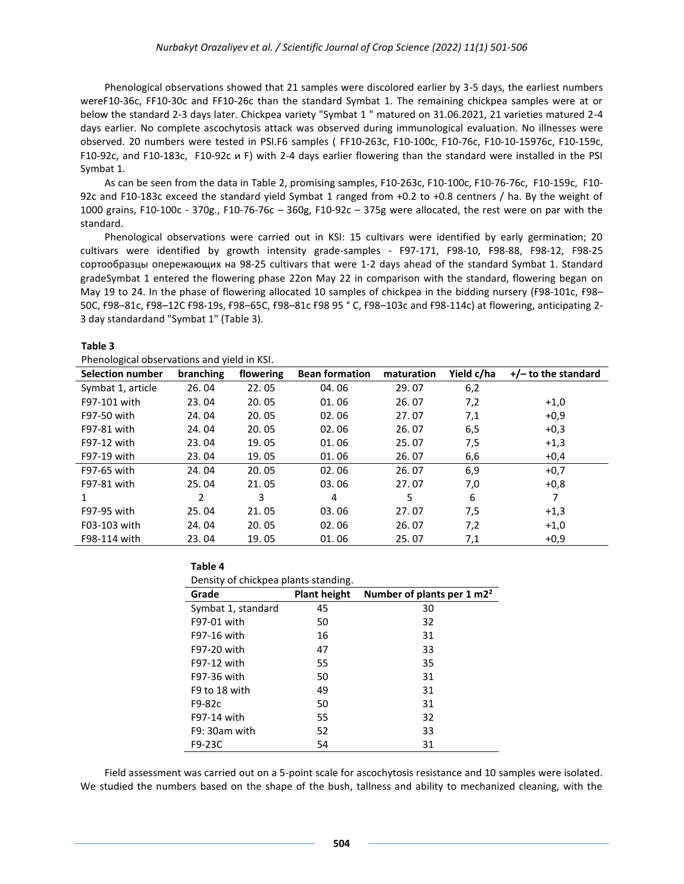Phenological observations showed that 21 samples were discolored earlier by 3-5 days, the earliest numbers wereF10-36c, FF10-30c and FF10-26c than the standard Symbat 1. The remaining chickpea samples were at or below the standard 2-3 days later. Chickpea variety "Symbat 1 " matured on 31.06.2021, 21 varieties matured 2-4 days earlier. No complete ascochytosis attack was observed during immunological evaluation. No illnesses were observed. 20 numbers were tested in PSI.F6 samples ( FF10-263c, F10-100c, F10-76c, F10-10-15976c, F10-159c, F10-92c, and F10-183c, F10-92c и F) with 2-4 days earlier flowering than the standard were installed in the PSI Symbat 1.

As can be seen from the data in Table 2, promising samples, F10-263c, F10-100c, F10-76-76c, F10-159c, F10- 92c and F10-183c exceed the standard yield Symbat 1 ranged from +0.2 to +0.8 centners / ha. By the weight of 1000 grains, F10-100c - 370g., F10-76-76c – 360g, F10-92c – 375g were allocated, the rest were on par with the standard.

Phenological observations were carried out in KSI: 15 cultivars were identified by early germination; 20 cultivars were identified by growth intensity grade-samples - F97-171, F98-10, F98-88, F98-12, F98-25 сортообразцы опережающих на 98-25 cultivars that were 1-2 days ahead of the standard Symbat 1. Standard gradeSymbat 1 entered the flowering phase 22on May 22 in comparison with the standard, flowering began on May 19 to 24. In the phase of flowering allocated 10 samples of chickpea in the bidding nursery (Ғ98-101с, Ғ98– 50C, Ғ98–81с, Ғ98–12C Ғ98-19s, Ғ98–65C, Ғ98–81с Ғ98 95 ° C, Ғ98–103с and Ғ98-114с) at flowering, anticipating 2- 3 day standardand "Symbat 1" (Table 3).

#### **Table 3**

Phenological observations and yield in KSI.

**Table 4**

| ייכה ווי אונט אווט מווטוס וואס וספטט<br><b>Selection number</b> | branching | flowering | <b>Bean formation</b> | maturation | Yield c/ha | $+/-$ to the standard |
|-----------------------------------------------------------------|-----------|-----------|-----------------------|------------|------------|-----------------------|
| Symbat 1, article                                               | 26.04     | 22.05     | 04.06                 | 29.07      | 6,2        |                       |
| F97-101 with                                                    | 23.04     | 20.05     | 01.06                 | 26.07      | 7,2        | $+1,0$                |
| F97-50 with                                                     | 24.04     | 20.05     | 02.06                 | 27.07      | 7,1        | $+0.9$                |
| F97-81 with                                                     | 24.04     | 20.05     | 02.06                 | 26.07      | 6,5        | $+0,3$                |
| F97-12 with                                                     | 23.04     | 19.05     | 01.06                 | 25.07      | 7,5        | $+1,3$                |
| F97-19 with                                                     | 23.04     | 19.05     | 01.06                 | 26.07      | 6,6        | $+0.4$                |
| F97-65 with                                                     | 24.04     | 20.05     | 02.06                 | 26.07      | 6,9        | $+0,7$                |
| F97-81 with                                                     | 25.04     | 21.05     | 03.06                 | 27.07      | 7,0        | $+0,8$                |
|                                                                 | 2         | 3         | 4                     | 5          | 6          |                       |
| F97-95 with                                                     | 25.04     | 21.05     | 03.06                 | 27.07      | 7,5        | $+1,3$                |
| F03-103 with                                                    | 24.04     | 20.05     | 02.06                 | 26.07      | 7,2        | $+1,0$                |
| F98-114 with                                                    | 23.04     | 19.05     | 01.06                 | 25.07      | 7,1        | $+0,9$                |

| Density of chickpea plants standing. |                     |                                       |  |
|--------------------------------------|---------------------|---------------------------------------|--|
| Grade                                | <b>Plant height</b> | Number of plants per $1 \text{ m2}^2$ |  |
| Symbat 1, standard                   | 45                  | 30                                    |  |
| F97-01 with                          | 50                  | 32                                    |  |
| F97-16 with                          | 16                  | 31                                    |  |
| F97-20 with                          | 47                  | 33                                    |  |
| F97-12 with                          | 55                  | 35                                    |  |
| F97-36 with                          | 50                  | 31                                    |  |
| F9 to 18 with                        | 49                  | 31                                    |  |
| F9-82c                               | 50                  | 31                                    |  |
| F97-14 with                          | 55                  | 32                                    |  |
| $F9:30am$ with                       | 52                  | 33                                    |  |
| F9-23C                               | 54                  | 31                                    |  |

Field assessment was carried out on a 5-point scale for ascochytosis resistance and 10 samples were isolated. We studied the numbers based on the shape of the bush, tallness and ability to mechanized cleaning, with the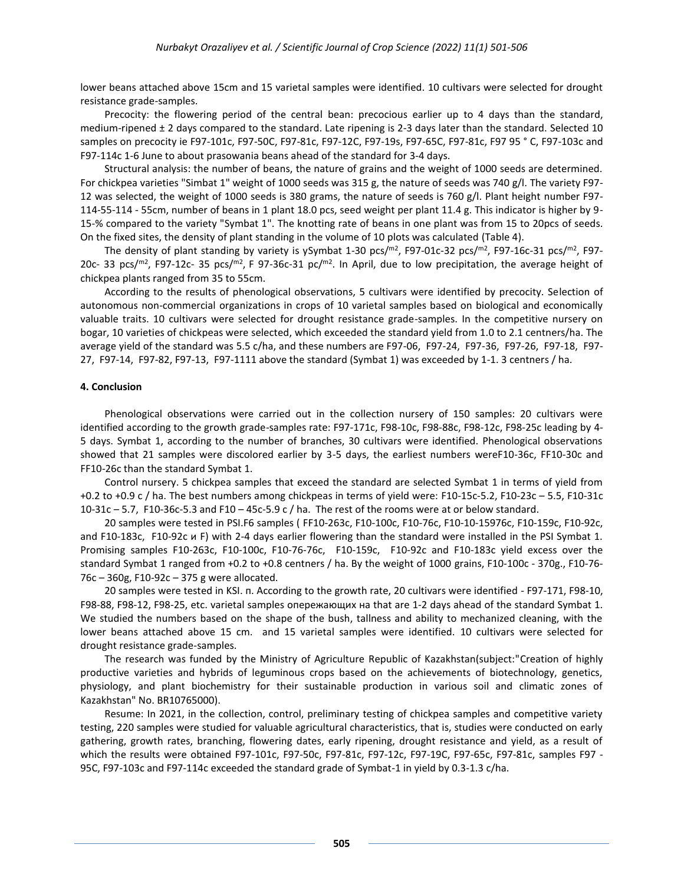lower beans attached above 15cm and 15 varietal samples were identified. 10 cultivars were selected for drought resistance grade-samples.

Precocity: the flowering period of the central bean: precocious earlier up to 4 days than the standard, medium-ripened ± 2 days compared to the standard. Late ripening is 2-3 days later than the standard. Selected 10 samples on precocity ie F97-101с, F97-50C, F97-81с, F97-12C, F97-19s, F97-65C, F97-81с, F97 95 ° C, F97-103с and F97-114с 1-6 June to about prasowania beans ahead of the standard for 3-4 days.

Structural analysis: the number of beans, the nature of grains and the weight of 1000 seeds are determined. For chickpea varieties "Simbat 1" weight of 1000 seeds was 315 g, the nature of seeds was 740 g/l. The variety F97- 12 was selected, the weight of 1000 seeds is 380 grams, the nature of seeds is 760 g/l. Plant height number F97- 114-55-114 - 55cm, number of beans in 1 plant 18.0 pcs, seed weight per plant 11.4 g. This indicator is higher by 9- 15-% compared to the variety "Symbat 1". The knotting rate of beans in one plant was from 15 to 20pcs of seeds. On the fixed sites, the density of plant standing in the volume of 10 plots was calculated (Table 4).

The density of plant standing by variety is ySymbat 1-30 pcs/ $^{m2}$ , F97-01c-32 pcs/ $^{m2}$ , F97-16c-31 pcs/ $^{m2}$ , F97-20c- 33 pcs/ $m^2$ , F97-12c- 35 pcs/ $m^2$ , F 97-36c-31 pc/ $m^2$ . In April, due to low precipitation, the average height of chickpea plants ranged from 35 to 55cm.

According to the results of phenological observations, 5 cultivars were identified by precocity. Selection of autonomous non-commercial organizations in crops of 10 varietal samples based on biological and economically valuable traits. 10 cultivars were selected for drought resistance grade-samples. In the competitive nursery on bogar, 10 varieties of chickpeas were selected, which exceeded the standard yield from 1.0 to 2.1 centners/ha. The average yield of the standard was 5.5 c/ha, and these numbers are F97-06, F97-24, F97-36, F97-26, F97-18, F97- 27, F97-14, F97-82, F97-13, F97-1111 above the standard (Symbat 1) was exceeded by 1-1. 3 centners / ha.

#### **4. Conclusion**

Phenological observations were carried out in the collection nursery of 150 samples: 20 cultivars were identified according to the growth grade-samples rate: F97-171c, F98-10c, F98-88c, F98-12c, F98-25c leading by 4- 5 days. Symbat 1, according to the number of branches, 30 cultivars were identified. Phenological observations showed that 21 samples were discolored earlier by 3-5 days, the earliest numbers wereF10-36c, FF10-30c and FF10-26c than the standard Symbat 1.

Control nursery. 5 chickpea samples that exceed the standard are selected Symbat 1 in terms of yield from +0.2 to +0.9 c / ha. The best numbers among chickpeas in terms of yield were: F10-15c-5.2, F10-23c – 5.5, F10-31c 10-31c – 5.7, F10-36c-5.3 and F10 – 45c-5.9 c / ha. The rest of the rooms were at or below standard.

20 samples were tested in PSI.F6 samples ( FF10-263c, F10-100c, F10-76c, F10-10-15976c, F10-159c, F10-92c, and F10-183c, F10-92c  $\mu$  F) with 2-4 days earlier flowering than the standard were installed in the PSI Symbat 1. Promising samples F10-263c, F10-100c, F10-76-76c, F10-159c, F10-92c and F10-183c yield excess over the standard Symbat 1 ranged from +0.2 to +0.8 centners / ha. By the weight of 1000 grains, F10-100c - 370g., F10-76- 76c – 360g, F10-92c – 375 g were allocated.

20 samples were tested in KSI. п. According to the growth rate, 20 cultivars were identified - F97-171, F98-10, F98-88, F98-12, F98-25, etc. varietal samples опережающих на that are 1-2 days ahead of the standard Symbat 1. We studied the numbers based on the shape of the bush, tallness and ability to mechanized cleaning, with the lower beans attached above 15 cm. and 15 varietal samples were identified. 10 cultivars were selected for drought resistance grade-samples.

The research was funded by the Ministry of Agriculture Republic of Kazakhstan(subject:"Creation of highly productive varieties and hybrids of leguminous crops based on the achievements of biotechnology, genetics, physiology, and plant biochemistry for their sustainable production in various soil and climatic zones of Kazakhstan" No. BR10765000).

Resume: In 2021, in the collection, control, preliminary testing of chickpea samples and competitive variety testing, 220 samples were studied for valuable agricultural characteristics, that is, studies were conducted on early gathering, growth rates, branching, flowering dates, early ripening, drought resistance and yield, as a result of which the results were obtained F97-101c, F97-50c, F97-81c, F97-12c, F97-19C, F97-65c, F97-81c, samples F97 - 95C, F97-103c and F97-114c exceeded the standard grade of Symbat-1 in yield by 0.3-1.3 c/ha.